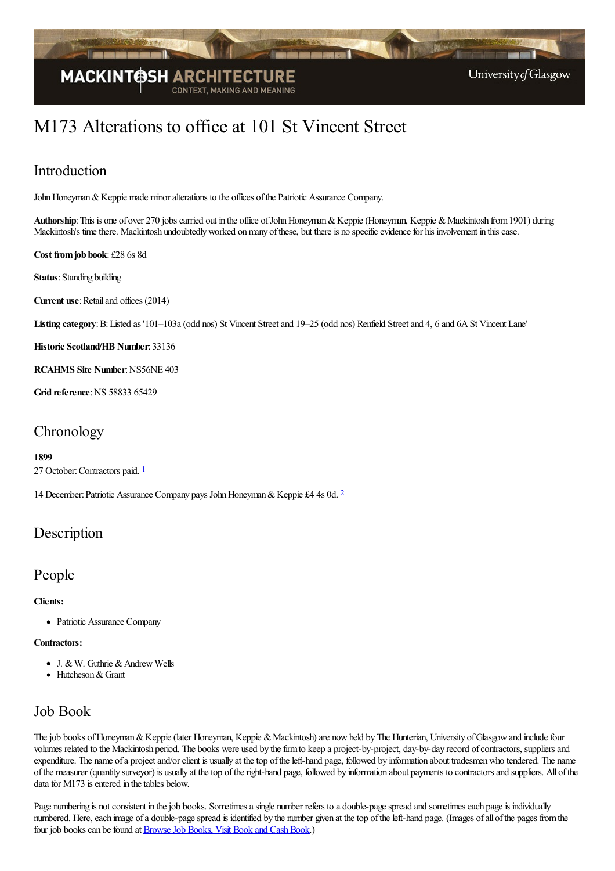

# M173 Alterations to office at 101 St Vincent Street

## Introduction

John Honeyman & Keppie made minor alterations to the offices of the Patriotic Assurance Company.

Authorship: This is one of over 270 jobs carried out in the office of John Honeyman & Keppie (Honeyman, Keppie & Mackintosh from 1901) during Mackintosh's time there. Mackintosh undoubtedly worked on many of these, but there is no specific evidence for his involvement in this case.

**Cost fromjob book**: £28 6s 8d

**Status**: Standing building

**Current use:** Retail and offices (2014)

Listing category: B: Listed as '101–103a (odd nos) St Vincent Street and 19–25 (odd nos) Renfield Street and 4, 6 and 6A St Vincent Lane'

**Historic Scotland/HB Number**: 33136

**RCAHMS** Site Number: NS56NE 403

**Grid reference: NS 58833 65429** 

### Chronology

#### <span id="page-0-0"></span>**1899**

27 October: Contractors paid.<sup>[1](#page-1-0)</sup>

<span id="page-0-1"></span>14 December: Patriotic Assurance Company pays John Honeyman & Keppie £4 4s 0d. [2](#page-1-1)

### Description

### People

#### **Clients:**

• Patriotic Assurance Company

### **Contractors:**

- $\bullet$  J. & W. Guthrie & Andrew Wells
- $\bullet$  Hutcheson & Grant

### Job Book

The job books of Honeyman & Keppie (later Honeyman, Keppie & Mackintosh) are now held by The Hunterian, University of Glasgow and include four volumes related to the Mackintosh period. The books were used by the firm to keep a project-by-project, day-by-day record of contractors, suppliers and expenditure. The name of a project and/or client is usually at the top of the left-hand page, followed by information about tradesmen who tendered. The name ofthe measurer (quantity surveyor) is usually at thetop oftheright-hand page, followed by information about payments to contractorsand suppliers. All ofthe data for  $M173$  is entered in the tables below.

Page numbering is not consistent in the job books. Sometimes a single number refers to a double-page spread and sometimes each page is individually numbered. Here, each image of a double-page spread is identified by the number given at the top of the left-hand page. (Images of all of the pages from the four job books can be found at **Browse Job Books**, Visit Book and Cash Book.)